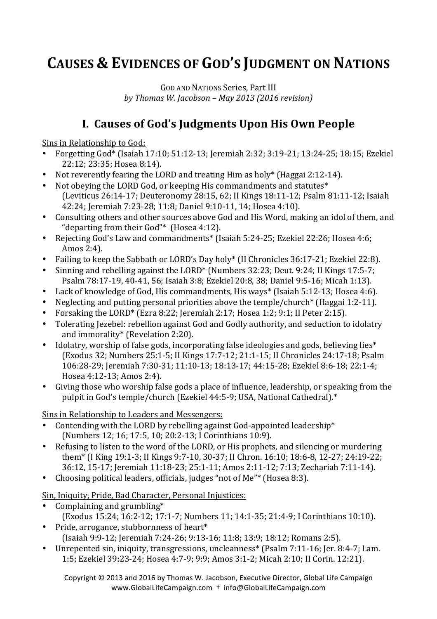# **CAUSES & EVIDENCES OF GOD'S JUDGMENT ON NATIONS**

GOD AND NATIONS Series, Part III *by Thomas W. Jacobson – May 2013 (2016 revision)*

## **I. Causes of God's Judgments Upon His Own People**

Sins in Relationship to God:

- Forgetting God\* (Isaiah 17:10; 51:12-13; Jeremiah 2:32; 3:19-21; 13:24-25; 18:15; Ezekiel 22:12; 23:35; Hosea 8:14).
- Not reverently fearing the LORD and treating Him as holy\* (Haggai 2:12-14).
- Not obeying the LORD God, or keeping His commandments and statutes<sup>\*</sup> (Leviticus 26:14-17; Deuteronomy 28:15, 62; II Kings 18:11-12; Psalm 81:11-12; Isaiah 42:24; Jeremiah 7:23-28; 11:8; Daniel 9:10-11, 14; Hosea 4:10).
- Consulting others and other sources above God and His Word, making an idol of them, and "departing from their  $God"$ \* (Hosea 4:12).
- Rejecting God's Law and commandments\* (Isaiah 5:24-25; Ezekiel 22:26; Hosea 4:6; Amos 2:4).
- Failing to keep the Sabbath or LORD's Day holy\* (II Chronicles 36:17-21; Ezekiel 22:8).
- Sinning and rebelling against the LORD<sup>\*</sup> (Numbers 32:23; Deut. 9:24; II Kings 17:5-7; Psalm 78:17-19, 40-41, 56; Isaiah 3:8; Ezekiel 20:8, 38; Daniel 9:5-16; Micah 1:13).
- Lack of knowledge of God, His commandments, His ways\* (Isaiah 5:12-13; Hosea 4:6).
- Neglecting and putting personal priorities above the temple/church\* (Haggai 1:2-11).
- Forsaking the LORD\* (Ezra 8:22; Jeremiah 2:17; Hosea 1:2; 9:1; II Peter 2:15).
- Tolerating Jezebel: rebellion against God and Godly authority, and seduction to idolatry and immorality\* (Revelation 2:20).
- Idolatry, worship of false gods, incorporating false ideologies and gods, believing lies\* (Exodus 32; Numbers 25:1-5; II Kings 17:7-12; 21:1-15; II Chronicles 24:17-18; Psalm 106:28-29; Jeremiah 7:30-31; 11:10-13; 18:13-17; 44:15-28; Ezekiel 8:6-18; 22:1-4; Hosea 4:12-13; Amos 2:4).
- Giving those who worship false gods a place of influence, leadership, or speaking from the pulpit in God's temple/church (Ezekiel 44:5-9; USA, National Cathedral).\*

Sins in Relationship to Leaders and Messengers:

- Contending with the LORD by rebelling against God-appointed leadership<sup>\*</sup> (Numbers 12; 16; 17:5, 10; 20:2-13; I Corinthians 10:9).
- Refusing to listen to the word of the LORD, or His prophets, and silencing or murdering them<sup>\*</sup> (I King 19:1-3; II Kings 9:7-10, 30-37; II Chron. 16:10; 18:6-8, 12-27; 24:19-22; 36:12, 15-17; Jeremiah 11:18-23; 25:1-11; Amos 2:11-12; 7:13; Zechariah 7:11-14).
- Choosing political leaders, officials, judges "not of Me"\* (Hosea 8:3).

Sin, Iniquity, Pride, Bad Character, Personal Injustices:

- Complaining and grumbling $*$ 
	- (Exodus 15:24; 16:2-12; 17:1-7; Numbers 11; 14:1-35; 21:4-9; I Corinthians 10:10).
- Pride, arrogance, stubbornness of heart\* (Isaiah 9:9-12; Jeremiah 7:24-26; 9:13-16; 11:8; 13:9; 18:12; Romans 2:5).
- Unrepented sin, iniquity, transgressions, uncleanness<sup>\*</sup> (Psalm 7:11-16; Jer. 8:4-7; Lam. 1:5; Ezekiel 39:23-24; Hosea 4:7-9; 9:9; Amos 3:1-2; Micah 2:10; II Corin. 12:21).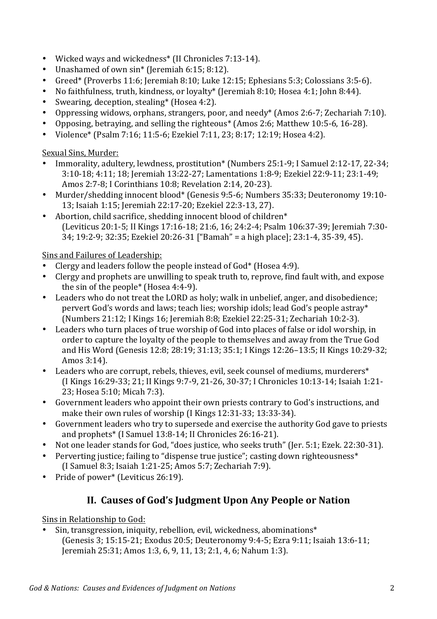- Wicked ways and wickedness<sup>\*</sup> (II Chronicles 7:13-14).
- Unashamed of own sin<sup>\*</sup> (Jeremiah 6:15; 8:12).
- Greed<sup>\*</sup> (Proverbs 11:6; Jeremiah 8:10; Luke 12:15; Ephesians 5:3; Colossians 3:5-6).
- No faithfulness, truth, kindness, or loyalty\* (Jeremiah 8:10; Hosea 4:1; John 8:44).
- Swearing, deception, stealing<sup>\*</sup> (Hosea 4:2).
- Oppressing widows, orphans, strangers, poor, and needy<sup>\*</sup> (Amos 2:6-7; Zechariah 7:10).
- Opposing, betraying, and selling the righteous\* (Amos 2:6; Matthew 10:5-6, 16-28).
- Violence\* (Psalm 7:16; 11:5-6; Ezekiel 7:11, 23; 8:17; 12:19; Hosea 4:2).

#### Sexual Sins, Murder:

- Immorality, adultery, lewdness, prostitution\* (Numbers 25:1-9; I Samuel 2:12-17, 22-34; 3:10-18; 4:11; 18; Jeremiah 13:22-27; Lamentations 1:8-9; Ezekiel 22:9-11; 23:1-49; Amos 2:7-8; I Corinthians 10:8; Revelation 2:14, 20-23).
- Murder/shedding innocent blood\* (Genesis 9:5-6; Numbers 35:33; Deuteronomy 19:10-13; Isaiah 1:15; Jeremiah 22:17-20; Ezekiel 22:3-13, 27).
- Abortion, child sacrifice, shedding innocent blood of children $*$ (Leviticus 20:1-5; II Kings 17:16-18; 21:6, 16; 24:2-4; Psalm 106:37-39; Jeremiah 7:30-34; 19:2-9; 32:35; Ezekiel 20:26-31 ["Bamah" = a high place]; 23:1-4, 35-39, 45).

#### Sins and Failures of Leadership:

- Clergy and leaders follow the people instead of  $God^*$  (Hosea 4:9).
- Clergy and prophets are unwilling to speak truth to, reprove, find fault with, and expose the sin of the people\* (Hosea  $4:4-9$ ).
- Leaders who do not treat the LORD as holy; walk in unbelief, anger, and disobedience; pervert God's words and laws; teach lies; worship idols; lead God's people astray\* (Numbers 21:12; I Kings 16; Jeremiah 8:8; Ezekiel 22:25-31; Zechariah 10:2-3).
- Leaders who turn places of true worship of God into places of false or idol worship, in order to capture the loyalty of the people to themselves and away from the True God and His Word (Genesis 12:8; 28:19; 31:13; 35:1; I Kings 12:26-13:5; II Kings 10:29-32; Amos 3:14).
- Leaders who are corrupt, rebels, thieves, evil, seek counsel of mediums, murderers<sup>\*</sup> (I Kings 16:29-33; 21; II Kings 9:7-9, 21-26, 30-37; I Chronicles 10:13-14; Isaiah 1:21-23; Hosea 5:10; Micah 7:3).
- Government leaders who appoint their own priests contrary to God's instructions, and make their own rules of worship  $(I$  Kings  $12:31-33$ ;  $13:33-34$ ).
- Government leaders who try to supersede and exercise the authority God gave to priests and prophets\* (I Samuel 13:8-14; II Chronicles 26:16-21).
- Not one leader stands for God, "does justice, who seeks truth" (Jer. 5:1; Ezek. 22:30-31).
- Perverting justice; failing to "dispense true justice"; casting down righteousness\* (I Samuel 8:3; Isaiah 1:21-25; Amos 5:7; Zechariah 7:9).
- Pride of power\* (Leviticus 26:19).

### **II. Causes of God's Judgment Upon Any People or Nation**

Sins in Relationship to God:

• Sin, transgression, iniquity, rebellion, evil, wickedness, abominations<sup>\*</sup> (Genesis 3; 15:15-21; Exodus 20:5; Deuteronomy 9:4-5; Ezra 9:11; Isaiah 13:6-11; Jeremiah 25:31; Amos 1:3, 6, 9, 11, 13; 2:1, 4, 6; Nahum 1:3).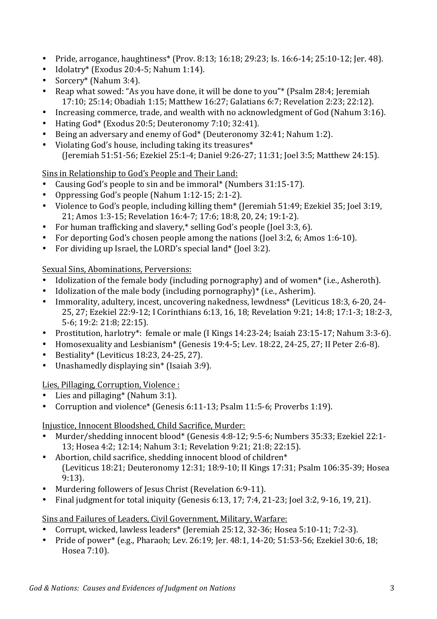- Pride, arrogance, haughtiness\* (Prov. 8:13; 16:18; 29:23; Is. 16:6-14; 25:10-12; Jer. 48).
- Idolatry\* (Exodus 20:4-5; Nahum 1:14).
- Sorcery\* (Nahum  $3:4$ ).
- Reap what sowed: "As you have done, it will be done to you"\* (Psalm 28:4; Jeremiah 17:10; 25:14; Obadiah 1:15; Matthew 16:27; Galatians 6:7; Revelation 2:23; 22:12).
- Increasing commerce, trade, and wealth with no acknowledgment of God (Nahum 3:16).
- Hating God\* (Exodus 20:5; Deuteronomy 7:10; 32:41).
- Being an adversary and enemy of God\* (Deuteronomy 32:41; Nahum 1:2).
- Violating God's house, including taking its treasures $*$ (Jeremiah 51:51-56; Ezekiel 25:1-4; Daniel 9:26-27; 11:31; Joel 3:5; Matthew 24:15).

Sins in Relationship to God's People and Their Land:

- Causing God's people to sin and be immoral\* (Numbers  $31:15-17$ ).
- Oppressing God's people (Nahum  $1:12-15; 2:1-2$ ).
- Violence to God's people, including killing them\* (Jeremiah 51:49; Ezekiel 35; Joel 3:19, 21; Amos 1:3-15; Revelation 16:4-7; 17:6; 18:8, 20, 24; 19:1-2).
- For human trafficking and slavery, $*$  selling God's people (Joel 3:3, 6).
- For deporting God's chosen people among the nations (Joel 3:2, 6; Amos 1:6-10).
- For dividing up Israel, the LORD's special land\* (Joel 3:2).

Sexual Sins, Abominations, Perversions:

- Idolization of the female body (including pornography) and of women<sup>\*</sup> (i.e., Asheroth).
- Idolization of the male body (including pornography) $*$  (i.e., Asherim).
- Immorality, adultery, incest, uncovering nakedness, lewdness<sup>\*</sup> (Leviticus 18:3, 6-20, 24-25, 27; Ezekiel 22:9-12; I Corinthians 6:13, 16, 18; Revelation 9:21; 14:8; 17:1-3; 18:2-3, 5-6; 19:2: 21:8; 22:15).
- Prostitution, harlotry\*: female or male (I Kings 14:23-24; Isaiah 23:15-17; Nahum 3:3-6).
- Homosexuality and Lesbianism<sup>\*</sup> (Genesis 19:4-5; Lev. 18:22, 24-25, 27; II Peter 2:6-8).
- Bestiality\* (Leviticus 18:23, 24-25, 27).
- Unashamedly displaying  $sin^*$  (Isaiah 3:9).

Lies, Pillaging, Corruption, Violence :

- Lies and pillaging\* (Nahum  $3:1$ ).
- Corruption and violence\* (Genesis 6:11-13; Psalm 11:5-6; Proverbs 1:19).

Injustice, Innocent Bloodshed, Child Sacrifice, Murder:

- Murder/shedding innocent blood\* (Genesis 4:8-12; 9:5-6; Numbers 35:33; Ezekiel 22:1-13; Hosea 4:2; 12:14; Nahum 3:1; Revelation 9:21; 21:8; 22:15).
- Abortion, child sacrifice, shedding innocent blood of children $*$ (Leviticus 18:21; Deuteronomy 12:31; 18:9-10; II Kings 17:31; Psalm 106:35-39; Hosea 9:13).
- Murdering followers of Jesus Christ (Revelation 6:9-11).
- Final judgment for total iniquity (Genesis 6:13, 17; 7:4, 21-23; Joel 3:2, 9-16, 19, 21).

Sins and Failures of Leaders, Civil Government, Military, Warfare:

- Corrupt, wicked, lawless leaders\* (Jeremiah 25:12, 32-36; Hosea 5:10-11; 7:2-3).
- Pride of power\* (e.g., Pharaoh; Lev. 26:19; Jer. 48:1, 14-20; 51:53-56; Ezekiel 30:6, 18; Hosea 7:10).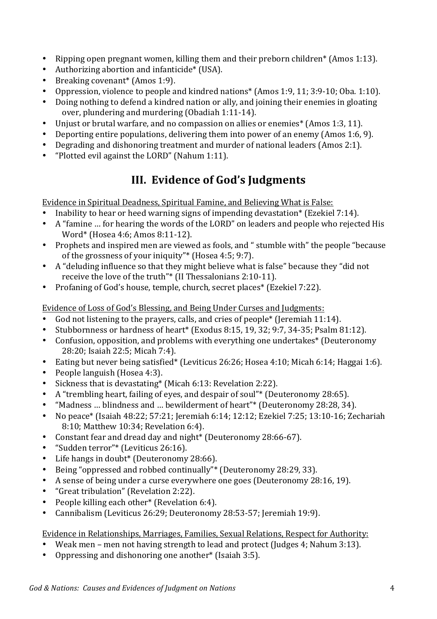- Ripping open pregnant women, killing them and their preborn children<sup>\*</sup> (Amos 1:13).
- Authorizing abortion and infanticide\*  $(USA)$ .
- Breaking covenant<sup>\*</sup> (Amos 1:9).
- Oppression, violence to people and kindred nations\* (Amos 1:9, 11; 3:9-10; Oba. 1:10).
- Doing nothing to defend a kindred nation or ally, and joining their enemies in gloating over, plundering and murdering  $(Obadiah 1:11-14)$ .
- Unjust or brutal warfare, and no compassion on allies or enemies<sup>\*</sup> (Amos 1:3, 11).
- Deporting entire populations, delivering them into power of an enemy (Amos 1:6, 9).
- Degrading and dishonoring treatment and murder of national leaders (Amos 2:1).
- "Plotted evil against the LORD" (Nahum 1:11).

### **III.** Evidence of God's Judgments

Evidence in Spiritual Deadness, Spiritual Famine, and Believing What is False:

- Inability to hear or heed warning signs of impending devastation\* (Ezekiel 7:14).
- A "famine ... for hearing the words of the LORD" on leaders and people who rejected His Word\* (Hosea 4:6; Amos 8:11-12).
- Prophets and inspired men are viewed as fools, and " stumble with" the people "because of the grossness of your iniquity"\* (Hosea  $4:5; 9:7$ ).
- A "deluding influence so that they might believe what is false" because they "did not receive the love of the truth"\* (II Thessalonians  $2:10-11$ ).
- Profaning of God's house, temple, church, secret places<sup>\*</sup> (Ezekiel 7:22).

Evidence of Loss of God's Blessing, and Being Under Curses and Judgments:

- God not listening to the prayers, calls, and cries of people<sup>\*</sup> (Jeremiah 11:14).
- Stubbornness or hardness of heart\* (Exodus 8:15, 19, 32; 9:7, 34-35; Psalm 81:12).
- Confusion, opposition, and problems with everything one undertakes\* (Deuteronomy 28:20; Isaiah 22:5; Micah 7:4).
- Eating but never being satisfied\* (Leviticus 26:26; Hosea 4:10; Micah 6:14; Haggai 1:6).
- People languish (Hosea 4:3).
- Sickness that is devastating\* (Micah  $6:13$ : Revelation 2:22).
- A "trembling heart, failing of eyes, and despair of soul"\* (Deuteronomy 28:65).
- "Madness ... blindness and ... bewilderment of heart"\* (Deuteronomy 28:28, 34).
- No peace\* (Isaiah 48:22; 57:21; Jeremiah 6:14; 12:12; Ezekiel 7:25; 13:10-16; Zechariah 8:10; Matthew 10:34; Revelation 6:4).
- Constant fear and dread day and night\* (Deuteronomy 28:66-67).
- "Sudden terror"\* (Leviticus 26:16).
- Life hangs in doubt\* (Deuteronomy  $28:66$ ).
- Being "oppressed and robbed continually"\* (Deuteronomy 28:29, 33).
- A sense of being under a curse everywhere one goes (Deuteronomy 28:16, 19).
- "Great tribulation" (Revelation 2:22).
- People killing each other\* (Revelation 6:4).
- Cannibalism (Leviticus 26:29; Deuteronomy 28:53-57; Jeremiah 19:9).

Evidence in Relationships, Marriages, Families, Sexual Relations, Respect for Authority:

- Weak men men not having strength to lead and protect (Judges 4: Nahum 3:13).
- Oppressing and dishonoring one another<sup>\*</sup> (Isaiah 3:5).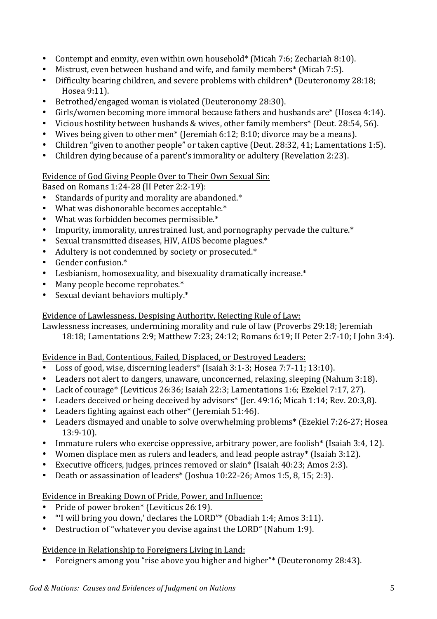- Contempt and enmity, even within own household\* (Micah 7:6; Zechariah 8:10).
- Mistrust, even between husband and wife, and family members<sup>\*</sup> (Micah 7:5).
- Difficulty bearing children, and severe problems with children<sup>\*</sup> (Deuteronomy 28:18; Hosea 9:11).
- Betrothed/engaged woman is violated (Deuteronomy 28:30).
- Girls/women becoming more immoral because fathers and husbands are\* (Hosea 4:14).
- Vicious hostility between husbands & wives, other family members<sup>\*</sup> (Deut. 28:54, 56).
- Wives being given to other men<sup>\*</sup> (Jeremiah 6:12; 8:10; divorce may be a means).
- Children "given to another people" or taken captive (Deut. 28:32, 41; Lamentations 1:5).
- Children dying because of a parent's immorality or adultery (Revelation 2:23).

#### Evidence of God Giving People Over to Their Own Sexual Sin:

Based on Romans 1:24-28 (II Peter 2:2-19):

- Standards of purity and morality are abandoned.\*
- What was dishonorable becomes acceptable.\*
- What was forbidden becomes permissible. $*$
- Impurity, immorality, unrestrained lust, and pornography pervade the culture.\*
- Sexual transmitted diseases, HIV, AIDS become plagues.\*
- Adultery is not condemned by society or prosecuted.\*
- Gender confusion.\*
- Lesbianism, homosexuality, and bisexuality dramatically increase.\*
- Many people become reprobates.\*
- Sexual deviant behaviors multiply. $*$

#### Evidence of Lawlessness, Despising Authority, Rejecting Rule of Law:

Lawlessness increases, undermining morality and rule of law (Proverbs 29:18; Jeremiah

18:18; Lamentations 2:9; Matthew 7:23; 24:12; Romans 6:19; II Peter 2:7-10; I John 3:4).

#### Evidence in Bad, Contentious, Failed, Displaced, or Destroyed Leaders:

- Loss of good, wise, discerning leaders<sup>\*</sup> (Isaiah 3:1-3; Hosea 7:7-11; 13:10).
- Leaders not alert to dangers, unaware, unconcerned, relaxing, sleeping (Nahum 3:18).
- Lack of courage\* (Leviticus 26:36; Isaiah 22:3; Lamentations 1:6; Ezekiel 7:17, 27).
- Leaders deceived or being deceived by advisors<sup>\*</sup> (Jer. 49:16; Micah 1:14; Rev. 20:3,8).
- Leaders fighting against each other\* (Jeremiah  $51:46$ ).
- Leaders dismayed and unable to solve overwhelming problems<sup>\*</sup> (Ezekiel 7:26-27; Hosea 13:9-10).
- Immature rulers who exercise oppressive, arbitrary power, are foolish<sup>\*</sup> (Isaiah 3:4, 12).
- Women displace men as rulers and leaders, and lead people astray\* (Isaiah 3:12).
- Executive officers, judges, princes removed or slain\* (Isaiah  $40:23$ ; Amos 2:3).
- Death or assassination of leaders\* (Joshua  $10:22-26$ ; Amos  $1:5, 8, 15; 2:3$ ).

#### Evidence in Breaking Down of Pride, Power, and Influence:

- Pride of power broken\* (Leviticus 26:19).
- "I will bring you down,' declares the LORD"\* (Obadiah 1:4; Amos 3:11).
- Destruction of "whatever you devise against the LORD" (Nahum 1:9).

#### Evidence in Relationship to Foreigners Living in Land:

• Foreigners among you "rise above you higher and higher"\* (Deuteronomy 28:43).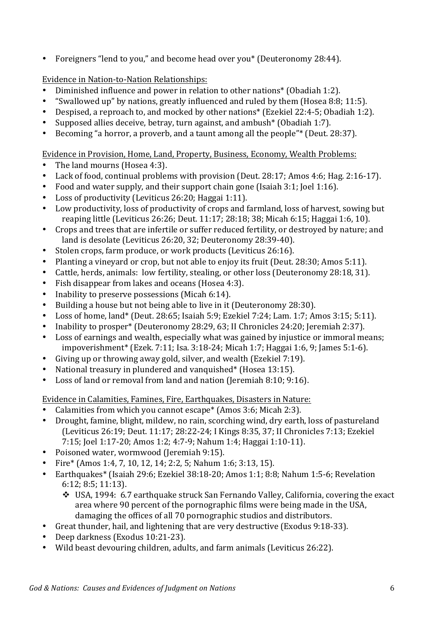• Foreigners "lend to you," and become head over you\* (Deuteronomy 28:44).

Evidence in Nation-to-Nation Relationships:

- Diminished influence and power in relation to other nations<sup>\*</sup> (Obadiah 1:2).
- "Swallowed up" by nations, greatly influenced and ruled by them (Hosea 8:8; 11:5).<br>• Despised a reproach to and mocked by other nations\* (Ezekiel 22:4-5: Obadiah 1:2
- Despised, a reproach to, and mocked by other nations<sup>\*</sup> (Ezekiel 22:4-5; Obadiah 1:2).
- Supposed allies deceive, betray, turn against, and ambush<sup>\*</sup> (Obadiah 1:7).
- Becoming "a horror, a proverb, and a taunt among all the people"\* (Deut. 28:37).

Evidence in Provision, Home, Land, Property, Business, Economy, Wealth Problems:

- The land mourns (Hosea 4:3).
- Lack of food, continual problems with provision (Deut. 28:17; Amos 4:6; Hag. 2:16-17).
- Food and water supply, and their support chain gone (Isaiah 3:1; Joel 1:16).
- Loss of productivity (Leviticus 26:20: Haggai 1:11).
- Low productivity, loss of productivity of crops and farmland, loss of harvest, sowing but reaping little (Leviticus 26:26; Deut. 11:17; 28:18; 38; Micah 6:15; Haggai 1:6, 10).
- Crops and trees that are infertile or suffer reduced fertility, or destroyed by nature; and land is desolate (Leviticus 26:20, 32; Deuteronomy 28:39-40).
- Stolen crops, farm produce, or work products (Leviticus 26:16).
- Planting a vinevard or crop, but not able to enjoy its fruit (Deut. 28:30; Amos 5:11).
- Cattle, herds, animals: low fertility, stealing, or other loss (Deuteronomy 28:18, 31).
- Fish disappear from lakes and oceans (Hosea 4:3).
- Inability to preserve possessions (Micah  $6:14$ ).
- Building a house but not being able to live in it (Deuteronomy 28:30).
- Loss of home, land\* (Deut. 28:65; Isaiah 5:9; Ezekiel 7:24; Lam. 1:7; Amos 3:15; 5:11).
- Inability to prosper\* (Deuteronomy 28:29, 63; II Chronicles 24:20; Jeremiah 2:37).
- Loss of earnings and wealth, especially what was gained by injustice or immoral means; impoverishment\* (Ezek. 7:11; Isa. 3:18-24; Micah 1:7; Haggai 1:6, 9; James 5:1-6).
- Giving up or throwing away gold, silver, and wealth (Ezekiel 7:19).
- National treasury in plundered and vanquished\* (Hosea  $13:15$ ).
- Loss of land or removal from land and nation (Jeremiah 8:10; 9:16).

Evidence in Calamities, Famines, Fire, Earthquakes, Disasters in Nature:

- Calamities from which you cannot escape\*  $(Amos 3:6; Micah 2:3)$ .
- Drought, famine, blight, mildew, no rain, scorching wind, dry earth, loss of pastureland (Leviticus 26:19; Deut. 11:17; 28:22-24; I Kings 8:35, 37; II Chronicles 7:13; Ezekiel 7:15; Joel 1:17-20; Amos 1:2; 4:7-9; Nahum 1:4; Haggai 1:10-11).
- Poisoned water, wormwood (Jeremiah 9:15).
- Fire\* (Amos 1:4, 7, 10, 12, 14; 2:2, 5; Nahum 1:6; 3:13, 15).
- Earthquakes\* (Isaiah 29:6; Ezekiel 38:18-20; Amos 1:1; 8:8; Nahum 1:5-6; Revelation 6:12; 8:5; 11:13).
	- $\cdot$  USA, 1994: 6.7 earthquake struck San Fernando Valley, California, covering the exact area where 90 percent of the pornographic films were being made in the USA, damaging the offices of all 70 pornographic studios and distributors.
- Great thunder, hail, and lightening that are very destructive (Exodus 9:18-33).
- Deep darkness (Exodus 10:21-23).
- Wild beast devouring children, adults, and farm animals (Leviticus 26:22).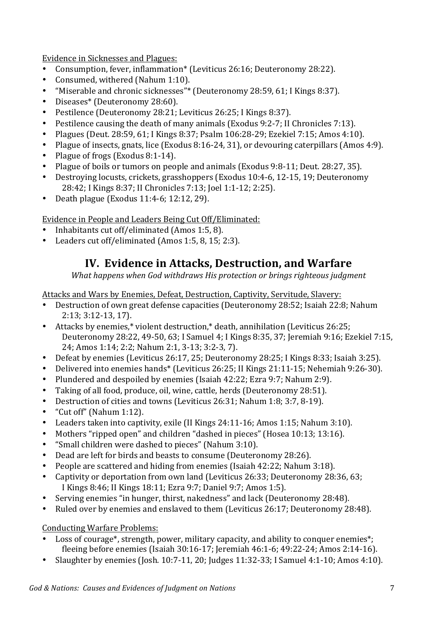Evidence in Sicknesses and Plagues:

- Consumption, fever, inflammation\* (Leviticus 26:16; Deuteronomy 28:22).
- Consumed, withered (Nahum 1:10).
- "Miserable and chronic sicknesses"\* (Deuteronomy 28:59, 61; I Kings 8:37).
- Diseases\* (Deuteronomy 28:60).
- Pestilence (Deuteronomy 28:21; Leviticus 26:25; I Kings 8:37).
- Pestilence causing the death of many animals (Exodus 9:2-7; II Chronicles 7:13).
- Plagues (Deut. 28:59, 61; I Kings 8:37; Psalm 106:28-29; Ezekiel 7:15; Amos 4:10).
- Plague of insects, gnats, lice (Exodus 8:16-24, 31), or devouring caterpillars (Amos 4:9).
- Plague of frogs (Exodus 8:1-14).
- Plague of boils or tumors on people and animals (Exodus 9:8-11; Deut. 28:27, 35).
- Destroving locusts, crickets, grasshoppers (Exodus 10:4-6, 12-15, 19; Deuteronomy 28:42; I Kings 8:37; II Chronicles 7:13; Joel 1:1-12; 2:25).
- Death plague (Exodus  $11:4-6$ ;  $12:12$ ,  $29$ ).

#### Evidence in People and Leaders Being Cut Off/Eliminated:

- Inhabitants cut off/eliminated (Amos 1:5, 8).
- Leaders cut off/eliminated (Amos 1:5, 8, 15; 2:3).

### **IV. Evidence in Attacks, Destruction, and Warfare**

*What happens when God withdraws His protection or brings righteous judgment* 

Attacks and Wars by Enemies, Defeat, Destruction, Captivity, Servitude, Slavery:

- Destruction of own great defense capacities (Deuteronomy 28:52; Isaiah 22:8; Nahum 2:13; 3:12-13, 17).
- Attacks by enemies,\* violent destruction,\* death, annihilation (Leviticus 26:25; Deuteronomy 28:22, 49-50, 63; I Samuel 4; I Kings 8:35, 37; Jeremiah 9:16; Ezekiel 7:15, 24; Amos 1:14; 2:2; Nahum 2:1, 3-13; 3:2-3, 7).
- Defeat by enemies (Leviticus 26:17, 25; Deuteronomy 28:25; I Kings 8:33; Isaiah 3:25).
- Delivered into enemies hands\* (Leviticus 26:25; II Kings 21:11-15; Nehemiah 9:26-30).
- Plundered and despoiled by enemies (Isaiah 42:22; Ezra 9:7; Nahum 2:9).
- Taking of all food, produce, oil, wine, cattle, herds (Deuteronomy 28:51).
- Destruction of cities and towns (Leviticus 26:31; Nahum 1:8; 3:7, 8-19).
- "Cut off" (Nahum  $1:12$ ).
- Leaders taken into captivity, exile  $(II$  Kings  $24:11-16$ : Amos  $1:15$ : Nahum  $3:10$ ).
- Mothers "ripped open" and children "dashed in pieces" (Hosea 10:13; 13:16).
- "Small children were dashed to pieces" (Nahum 3:10).
- Dead are left for birds and beasts to consume (Deuteronomy 28:26).
- People are scattered and hiding from enemies (Isaiah 42:22; Nahum 3:18).
- Captivity or deportation from own land (Leviticus 26:33; Deuteronomy 28:36, 63; I Kings 8:46; II Kings 18:11; Ezra 9:7; Daniel 9:7; Amos 1:5).
- Serving enemies "in hunger, thirst, nakedness" and lack (Deuteronomy 28:48).
- Ruled over by enemies and enslaved to them (Leviticus 26:17; Deuteronomy 28:48).

#### Conducting Warfare Problems:

- Loss of courage<sup>\*</sup>, strength, power, military capacity, and ability to conquer enemies<sup>\*</sup>; fleeing before enemies (Isaiah 30:16-17; Jeremiah 46:1-6; 49:22-24; Amos 2:14-16).
- Slaughter by enemies (Josh.  $10:7-11$ ,  $20$ ; Judges  $11:32-33$ ; I Samuel  $4:1-10$ ; Amos  $4:10$ ).